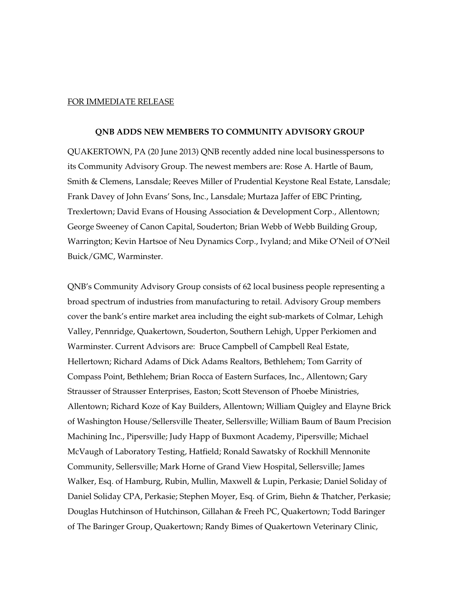## FOR IMMEDIATE RELEASE

## **QNB ADDS NEW MEMBERS TO COMMUNITY ADVISORY GROUP**

QUAKERTOWN, PA (20 June 2013) QNB recently added nine local businesspersons to its Community Advisory Group. The newest members are: Rose A. Hartle of Baum, Smith & Clemens, Lansdale; Reeves Miller of Prudential Keystone Real Estate, Lansdale; Frank Davey of John Evans' Sons, Inc., Lansdale; Murtaza Jaffer of EBC Printing, Trexlertown; David Evans of Housing Association & Development Corp., Allentown; George Sweeney of Canon Capital, Souderton; Brian Webb of Webb Building Group, Warrington; Kevin Hartsoe of Neu Dynamics Corp., Ivyland; and Mike O'Neil of O'Neil Buick/GMC, Warminster.

QNB's Community Advisory Group consists of 62 local business people representing a broad spectrum of industries from manufacturing to retail. Advisory Group members cover the bank's entire market area including the eight sub-markets of Colmar, Lehigh Valley, Pennridge, Quakertown, Souderton, Southern Lehigh, Upper Perkiomen and Warminster. Current Advisors are: Bruce Campbell of Campbell Real Estate, Hellertown; Richard Adams of Dick Adams Realtors, Bethlehem; Tom Garrity of Compass Point, Bethlehem; Brian Rocca of Eastern Surfaces, Inc., Allentown; Gary Strausser of Strausser Enterprises, Easton; Scott Stevenson of Phoebe Ministries, Allentown; Richard Koze of Kay Builders, Allentown; William Quigley and Elayne Brick of Washington House/Sellersville Theater, Sellersville; William Baum of Baum Precision Machining Inc., Pipersville; Judy Happ of Buxmont Academy, Pipersville; Michael McVaugh of Laboratory Testing, Hatfield; Ronald Sawatsky of Rockhill Mennonite Community, Sellersville; Mark Horne of Grand View Hospital, Sellersville; James Walker, Esq. of Hamburg, Rubin, Mullin, Maxwell & Lupin, Perkasie; Daniel Soliday of Daniel Soliday CPA, Perkasie; Stephen Moyer, Esq. of Grim, Biehn & Thatcher, Perkasie; Douglas Hutchinson of Hutchinson, Gillahan & Freeh PC, Quakertown; Todd Baringer of The Baringer Group, Quakertown; Randy Bimes of Quakertown Veterinary Clinic,